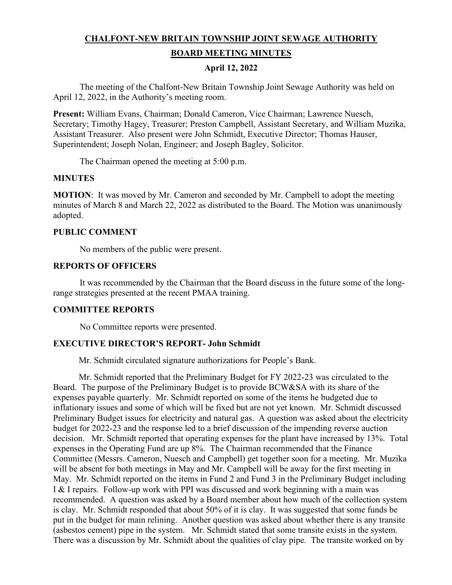# **CHALFONT-NEW BRITAIN TOWNSHIP JOINT SEWAGE AUTHORITY BOARD MEETING MINUTES**

### **April 12, 2022**

The meeting of the Chalfont-New Britain Township Joint Sewage Authority was held on April 12, 2022, in the Authority's meeting room.

**Present:** William Evans, Chairman; Donald Cameron, Vice Chairman; Lawrence Nuesch, Secretary; Timothy Hagey, Treasurer; Preston Campbell, Assistant Secretary, and William Muzika, Assistant Treasurer. Also present were John Schmidt, Executive Director; Thomas Hauser, Superintendent; Joseph Nolan, Engineer; and Joseph Bagley, Solicitor.

The Chairman opened the meeting at 5:00 p.m.

### **MINUTES**

**MOTION:** It was moved by Mr. Cameron and seconded by Mr. Campbell to adopt the meeting minutes of March 8 and March 22, 2022 as distributed to the Board. The Motion was unanimously adopted.

### **PUBLIC COMMENT**

No members of the public were present.

#### **REPORTS OF OFFICERS**

It was recommended by the Chairman that the Board discuss in the future some of the longrange strategies presented at the recent PMAA training.

### **COMMITTEE REPORTS**

No Committee reports were presented.

# **EXECUTIVE DIRECTOR'S REPORT- John Schmidt**

Mr. Schmidt circulated signature authorizations for People's Bank.

 Mr. Schmidt reported that the Preliminary Budget for FY 2022-23 was circulated to the Board. The purpose of the Preliminary Budget is to provide BCW&SA with its share of the expenses payable quarterly. Mr. Schmidt reported on some of the items he budgeted due to inflationary issues and some of which will be fixed but are not yet known. Mr. Schmidt discussed Preliminary Budget issues for electricity and natural gas. A question was asked about the electricity budget for 2022-23 and the response led to a brief discussion of the impending reverse auction decision. Mr. Schmidt reported that operating expenses for the plant have increased by 13%. Total expenses in the Operating Fund are up 8%. The Chairman recommended that the Finance Committee (Messrs. Cameron, Nuesch and Campbell) get together soon for a meeting. Mr. Muzika will be absent for both meetings in May and Mr. Campbell will be away for the first meeting in May. Mr. Schmidt reported on the items in Fund 2 and Fund 3 in the Preliminary Budget including I & I repairs. Follow-up work with PPI was discussed and work beginning with a main was recommended. A question was asked by a Board member about how much of the collection system is clay. Mr. Schmidt responded that about 50% of it is clay. It was suggested that some funds be put in the budget for main relining. Another question was asked about whether there is any transite (asbestos cement) pipe in the system. Mr. Schmidt stated that some transite exists in the system. There was a discussion by Mr. Schmidt about the qualities of clay pipe. The transite worked on by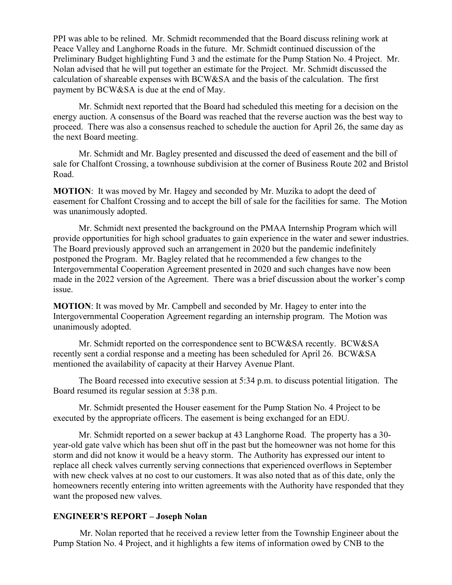PPI was able to be relined. Mr. Schmidt recommended that the Board discuss relining work at Peace Valley and Langhorne Roads in the future. Mr. Schmidt continued discussion of the Preliminary Budget highlighting Fund 3 and the estimate for the Pump Station No. 4 Project. Mr. Nolan advised that he will put together an estimate for the Project. Mr. Schmidt discussed the calculation of shareable expenses with BCW&SA and the basis of the calculation. The first payment by BCW&SA is due at the end of May.

 Mr. Schmidt next reported that the Board had scheduled this meeting for a decision on the energy auction. A consensus of the Board was reached that the reverse auction was the best way to proceed. There was also a consensus reached to schedule the auction for April 26, the same day as the next Board meeting.

 Mr. Schmidt and Mr. Bagley presented and discussed the deed of easement and the bill of sale for Chalfont Crossing, a townhouse subdivision at the corner of Business Route 202 and Bristol Road.

**MOTION**: It was moved by Mr. Hagey and seconded by Mr. Muzika to adopt the deed of easement for Chalfont Crossing and to accept the bill of sale for the facilities for same. The Motion was unanimously adopted.

 Mr. Schmidt next presented the background on the PMAA Internship Program which will provide opportunities for high school graduates to gain experience in the water and sewer industries. The Board previously approved such an arrangement in 2020 but the pandemic indefinitely postponed the Program. Mr. Bagley related that he recommended a few changes to the Intergovernmental Cooperation Agreement presented in 2020 and such changes have now been made in the 2022 version of the Agreement. There was a brief discussion about the worker's comp issue.

**MOTION**: It was moved by Mr. Campbell and seconded by Mr. Hagey to enter into the Intergovernmental Cooperation Agreement regarding an internship program. The Motion was unanimously adopted.

 Mr. Schmidt reported on the correspondence sent to BCW&SA recently. BCW&SA recently sent a cordial response and a meeting has been scheduled for April 26. BCW&SA mentioned the availability of capacity at their Harvey Avenue Plant.

 The Board recessed into executive session at 5:34 p.m. to discuss potential litigation. The Board resumed its regular session at 5:38 p.m.

 Mr. Schmidt presented the Houser easement for the Pump Station No. 4 Project to be executed by the appropriate officers. The easement is being exchanged for an EDU.

 Mr. Schmidt reported on a sewer backup at 43 Langhorne Road. The property has a 30 year-old gate valve which has been shut off in the past but the homeowner was not home for this storm and did not know it would be a heavy storm. The Authority has expressed our intent to replace all check valves currently serving connections that experienced overflows in September with new check valves at no cost to our customers. It was also noted that as of this date, only the homeowners recently entering into written agreements with the Authority have responded that they want the proposed new valves.

### **ENGINEER'S REPORT – Joseph Nolan**

Mr. Nolan reported that he received a review letter from the Township Engineer about the Pump Station No. 4 Project, and it highlights a few items of information owed by CNB to the